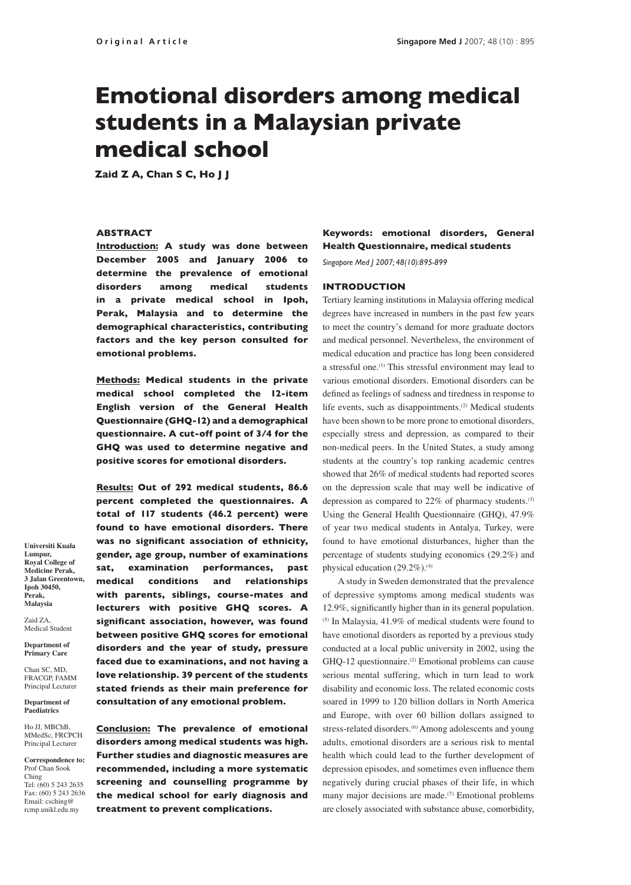# Emotional disorders among medical students in a Malaysian private medical school

Zaid Z A, Chan S C, Ho J J

## ABSTRACT

Introduction: A study was done between December 2005 and January 2006 to determine the prevalence of emotional disorders among medical students in a private medical school in Ipoh, Perak, Malaysia and to determine the demographical characteristics, contributing factors and the key person consulted for emotional problems.

Methods: Medical students in the private medical school completed the 12-item English version of the General Health Questionnaire (GHQ-12) and a demographical questionnaire. A cut-off point of 3/4 for the GHQ was used to determine negative and positive scores for emotional disorders.

Results: Out of 292 medical students, 86.6 percent completed the questionnaires. A total of 117 students (46.2 percent) were found to have emotional disorders. There was no significant association of ethnicity, gender, age group, number of examinations sat, examination performances, past medical conditions and relationships with parents, siblings, course-mates and lecturers with positive GHQ scores. A significant association, however, was found between positive GHQ scores for emotional disorders and the year of study, pressure faced due to examinations, and not having a love relationship. 39 percent of the students stated friends as their main preference for consultation of any emotional problem.

Conclusion: The prevalence of emotional disorders among medical students was high. Further studies and diagnostic measures are recommended, including a more systematic screening and counselling programme by the medical school for early diagnosis and treatment to prevent complications.

Keywords: emotional disorders, General Health Questionnaire, medical students

*Singapore Med J 2007; 48(10):895-899*

## INTRODUCTION

Tertiary learning institutions in Malaysia offering medical degrees have increased in numbers in the past few years to meet the country's demand for more graduate doctors and medical personnel. Nevertheless, the environment of medical education and practice has long been considered a stressful one.(1) This stressful environment may lead to various emotional disorders. Emotional disorders can be defined as feelings of sadness and tiredness in response to life events, such as disappointments.<sup>(2)</sup> Medical students have been shown to be more prone to emotional disorders, especially stress and depression, as compared to their non-medical peers. In the United States, a study among students at the country's top ranking academic centres showed that 26% of medical students had reported scores on the depression scale that may well be indicative of depression as compared to 22% of pharmacy students.<sup>(3)</sup> Using the General Health Questionnaire (GHQ), 47.9% of year two medical students in Antalya, Turkey, were found to have emotional disturbances, higher than the percentage of students studying economics (29.2%) and physical education (29.2%).<sup>(4)</sup>

A study in Sweden demonstrated that the prevalence of depressive symptoms among medical students was 12.9%, significantly higher than in its general population.  $(5)$  In Malaysia, 41.9% of medical students were found to have emotional disorders as reported by a previous study conducted at a local public university in 2002, using the GHQ-12 questionnaire.<sup>(2)</sup> Emotional problems can cause serious mental suffering, which in turn lead to work disability and economic loss. The related economic costs soared in 1999 to 120 billion dollars in North America and Europe, with over 60 billion dollars assigned to stress-related disorders.<sup>(6)</sup> Among adolescents and young adults, emotional disorders are a serious risk to mental health which could lead to the further development of depression episodes, and sometimes even influence them negatively during crucial phases of their life, in which many major decisions are made. $(7)$  Emotional problems are closely associated with substance abuse, comorbidity,

**Universiti Kuala Lumpur, Royal College of Medicine Perak, 3 Jalan Greentown, Ipoh 30450, Perak, Malaysia**

Zaid ZA, Medical Student

**Department of Primary Care**

Chan SC, MD, FRACGP, FAMM Principal Lecturer

**Department of Paediatrics** 

Ho JJ, MBChB MMedSc, FRCPCH Principal Lecturer

**Correspondence to:** Prof Chan Sook Ching Tel: (60) 5 243 2635 Fax: (60) 5 243 2636 Email: csching@ rcmp.unikl.edu.my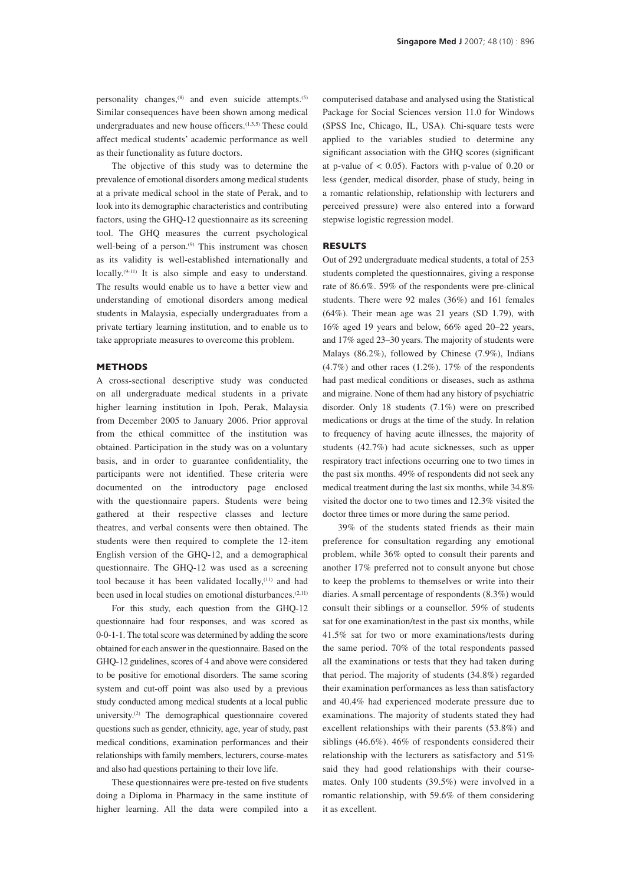personality changes, $(8)$  and even suicide attempts.<sup>(5)</sup> Similar consequences have been shown among medical undergraduates and new house officers.<sup>(1,3,5)</sup> These could affect medical students' academic performance as well as their functionality as future doctors.

The objective of this study was to determine the prevalence of emotional disorders among medical students at a private medical school in the state of Perak, and to look into its demographic characteristics and contributing factors, using the GHQ-12 questionnaire as its screening tool. The GHQ measures the current psychological well-being of a person.<sup>(9)</sup> This instrument was chosen as its validity is well-established internationally and locally.<sup>(9-11)</sup> It is also simple and easy to understand. The results would enable us to have a better view and understanding of emotional disorders among medical students in Malaysia, especially undergraduates from a private tertiary learning institution, and to enable us to take appropriate measures to overcome this problem.

# METHODS

A cross-sectional descriptive study was conducted on all undergraduate medical students in a private higher learning institution in Ipoh, Perak, Malaysia from December 2005 to January 2006. Prior approval from the ethical committee of the institution was obtained. Participation in the study was on a voluntary basis, and in order to guarantee confidentiality, the participants were not identified. These criteria were documented on the introductory page enclosed with the questionnaire papers. Students were being gathered at their respective classes and lecture theatres, and verbal consents were then obtained. The students were then required to complete the 12-item English version of the GHQ-12, and a demographical questionnaire. The GHQ-12 was used as a screening tool because it has been validated locally,<sup>(11)</sup> and had been used in local studies on emotional disturbances.<sup>(2,11)</sup>

For this study, each question from the GHQ-12 questionnaire had four responses, and was scored as 0-0-1-1. The total score was determined by adding the score obtained for each answer in the questionnaire. Based on the GHQ-12 guidelines, scores of 4 and above were considered to be positive for emotional disorders. The same scoring system and cut-off point was also used by a previous study conducted among medical students at a local public university.(2) The demographical questionnaire covered questions such as gender, ethnicity, age, year of study, past medical conditions, examination performances and their relationships with family members, lecturers, course-mates and also had questions pertaining to their love life.

These questionnaires were pre-tested on five students doing a Diploma in Pharmacy in the same institute of higher learning. All the data were compiled into a computerised database and analysed using the Statistical Package for Social Sciences version 11.0 for Windows (SPSS Inc, Chicago, IL, USA). Chi-square tests were applied to the variables studied to determine any significant association with the GHQ scores (significant at p-value of  $< 0.05$ ). Factors with p-value of 0.20 or less (gender, medical disorder, phase of study, being in a romantic relationship, relationship with lecturers and perceived pressure) were also entered into a forward stepwise logistic regression model.

#### RESULTS

Out of 292 undergraduate medical students, a total of 253 students completed the questionnaires, giving a response rate of 86.6%. 59% of the respondents were pre-clinical students. There were 92 males (36%) and 161 females (64%). Their mean age was 21 years (SD 1.79), with 16% aged 19 years and below, 66% aged 20–22 years, and 17% aged 23–30 years. The majority of students were Malays (86.2%), followed by Chinese (7.9%), Indians  $(4.7\%)$  and other races  $(1.2\%)$ . 17% of the respondents had past medical conditions or diseases, such as asthma and migraine. None of them had any history of psychiatric disorder. Only 18 students (7.1%) were on prescribed medications or drugs at the time of the study. In relation to frequency of having acute illnesses, the majority of students (42.7%) had acute sicknesses, such as upper respiratory tract infections occurring one to two times in the past six months. 49% of respondents did not seek any medical treatment during the last six months, while 34.8% visited the doctor one to two times and 12.3% visited the doctor three times or more during the same period.

39% of the students stated friends as their main preference for consultation regarding any emotional problem, while 36% opted to consult their parents and another 17% preferred not to consult anyone but chose to keep the problems to themselves or write into their diaries. A small percentage of respondents (8.3%) would consult their siblings or a counsellor. 59% of students sat for one examination/test in the past six months, while 41.5% sat for two or more examinations/tests during the same period. 70% of the total respondents passed all the examinations or tests that they had taken during that period. The majority of students (34.8%) regarded their examination performances as less than satisfactory and 40.4% had experienced moderate pressure due to examinations. The majority of students stated they had excellent relationships with their parents (53.8%) and siblings (46.6%). 46% of respondents considered their relationship with the lecturers as satisfactory and 51% said they had good relationships with their coursemates. Only 100 students (39.5%) were involved in a romantic relationship, with 59.6% of them considering it as excellent.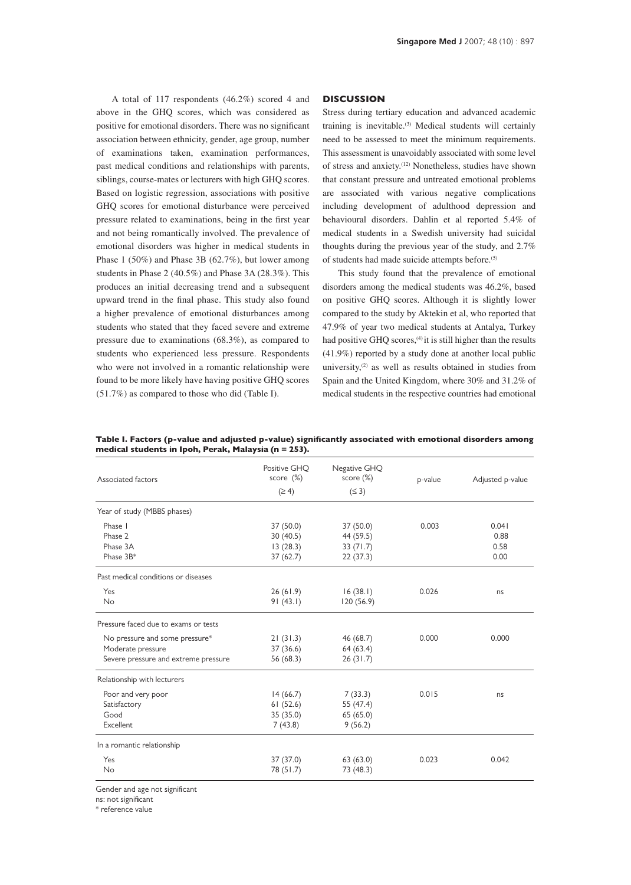A total of 117 respondents (46.2%) scored 4 and above in the GHQ scores, which was considered as positive for emotional disorders. There was no significant association between ethnicity, gender, age group, number of examinations taken, examination performances, past medical conditions and relationships with parents, siblings, course-mates or lecturers with high GHQ scores. Based on logistic regression, associations with positive GHQ scores for emotional disturbance were perceived pressure related to examinations, being in the first year and not being romantically involved. The prevalence of emotional disorders was higher in medical students in Phase 1 (50%) and Phase 3B (62.7%), but lower among students in Phase 2 (40.5%) and Phase 3A (28.3%). This produces an initial decreasing trend and a subsequent upward trend in the final phase. This study also found a higher prevalence of emotional disturbances among students who stated that they faced severe and extreme pressure due to examinations (68.3%), as compared to students who experienced less pressure. Respondents who were not involved in a romantic relationship were found to be more likely have having positive GHQ scores (51.7%) as compared to those who did (Table I).

## **DISCUSSION**

Stress during tertiary education and advanced academic training is inevitable.<sup>(3)</sup> Medical students will certainly need to be assessed to meet the minimum requirements. This assessment is unavoidably associated with some level of stress and anxiety.(12) Nonetheless, studies have shown that constant pressure and untreated emotional problems are associated with various negative complications including development of adulthood depression and behavioural disorders. Dahlin et al reported 5.4% of medical students in a Swedish university had suicidal thoughts during the previous year of the study, and 2.7% of students had made suicide attempts before.(5)

This study found that the prevalence of emotional disorders among the medical students was 46.2%, based on positive GHQ scores. Although it is slightly lower compared to the study by Aktekin et al, who reported that 47.9% of year two medical students at Antalya, Turkey had positive GHQ scores,<sup>(4)</sup> it is still higher than the results (41.9%) reported by a study done at another local public university, $(2)$  as well as results obtained in studies from Spain and the United Kingdom, where 30% and 31.2% of medical students in the respective countries had emotional

| Associated factors                   | Positive GHQ<br>score $(\%)$<br>$(\geq 4)$ | Negative GHQ<br>score $(\%)$<br>$(\leq 3)$ | p-value | Adjusted p-value |
|--------------------------------------|--------------------------------------------|--------------------------------------------|---------|------------------|
|                                      |                                            |                                            |         |                  |
| Phase I                              | 37 (50.0)                                  | 37 (50.0)                                  | 0.003   | 0.041            |
| Phase 2                              | 30(40.5)                                   | 44 (59.5)                                  |         | 0.88             |
| Phase 3A                             | 13(28.3)                                   | 33(71.7)                                   |         | 0.58             |
| Phase 3B*                            | 37(62.7)                                   | 22(37.3)                                   |         | 0.00             |
| Past medical conditions or diseases  |                                            |                                            |         |                  |
| Yes                                  | 26(61.9)                                   | 16(38.1)                                   | 0.026   | ns               |
| No                                   | 91(43.1)                                   | 120(56.9)                                  |         |                  |
| Pressure faced due to exams or tests |                                            |                                            |         |                  |
| No pressure and some pressure*       | 21(31.3)                                   | 46 (68.7)                                  | 0.000   | 0.000            |
| Moderate pressure                    | 37(36.6)                                   | 64 (63.4)                                  |         |                  |
| Severe pressure and extreme pressure | 56 (68.3)                                  | 26(31.7)                                   |         |                  |
| Relationship with lecturers          |                                            |                                            |         |                  |
| Poor and very poor                   | 14(66.7)                                   | 7(33.3)                                    | 0.015   | ns               |
| Satisfactory                         | 61(52.6)                                   | 55 (47.4)                                  |         |                  |
| Good                                 | 35 (35.0)                                  | 65(65.0)                                   |         |                  |
| Excellent                            | 7(43.8)                                    | 9(56.2)                                    |         |                  |
| In a romantic relationship           |                                            |                                            |         |                  |
| Yes                                  | 37 (37.0)                                  | 63(63.0)                                   | 0.023   | 0.042            |
| No                                   | 78 (51.7)                                  | 73 (48.3)                                  |         |                  |

Table I. Factors (p-value and adjusted p-value) significantly associated with emotional disorders among medical students in Ipoh, Perak, Malaysia (n = 253).

Gender and age not significant

ns: not significant

\* reference value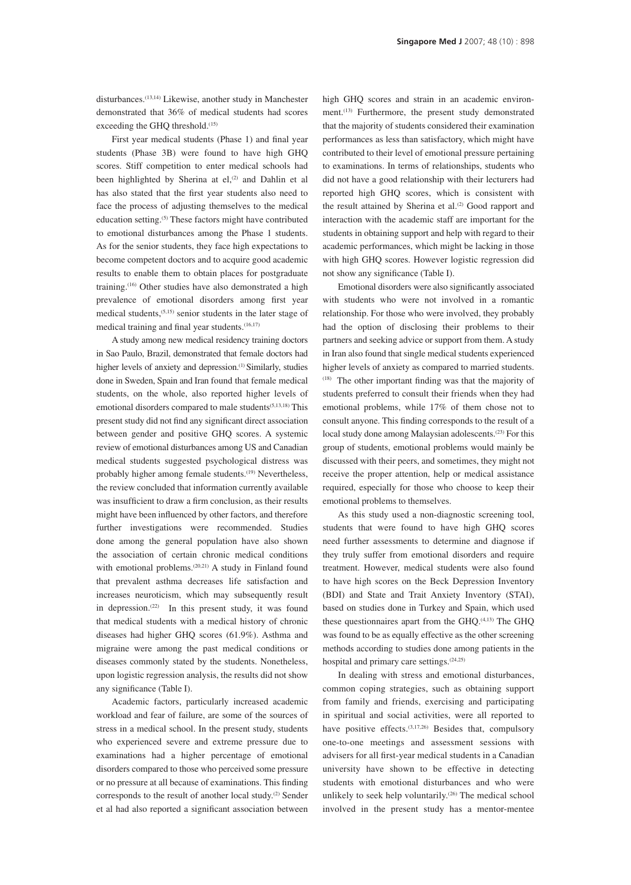disturbances.(13,14) Likewise, another study in Manchester demonstrated that 36% of medical students had scores exceeding the GHQ threshold.<sup>(15)</sup>

First year medical students (Phase 1) and final year students (Phase 3B) were found to have high GHQ scores. Stiff competition to enter medical schools had been highlighted by Sherina at el,<sup>(2)</sup> and Dahlin et al has also stated that the first year students also need to face the process of adjusting themselves to the medical education setting.(5) These factors might have contributed to emotional disturbances among the Phase 1 students. As for the senior students, they face high expectations to become competent doctors and to acquire good academic results to enable them to obtain places for postgraduate training.(16) Other studies have also demonstrated a high prevalence of emotional disorders among first year medical students,(5,15) senior students in the later stage of medical training and final year students.(16,17)

A study among new medical residency training doctors in Sao Paulo, Brazil, demonstrated that female doctors had higher levels of anxiety and depression.<sup>(1)</sup> Similarly, studies done in Sweden, Spain and Iran found that female medical students, on the whole, also reported higher levels of emotional disorders compared to male students<sup>(5,13,18)</sup> This present study did not find any significant direct association between gender and positive GHQ scores. A systemic review of emotional disturbances among US and Canadian medical students suggested psychological distress was probably higher among female students.<sup>(19)</sup> Nevertheless, the review concluded that information currently available was insufficient to draw a firm conclusion, as their results might have been influenced by other factors, and therefore further investigations were recommended. Studies done among the general population have also shown the association of certain chronic medical conditions with emotional problems.<sup>(20,21)</sup> A study in Finland found that prevalent asthma decreases life satisfaction and increases neuroticism, which may subsequently result in depression.<sup>(22)</sup> In this present study, it was found that medical students with a medical history of chronic diseases had higher GHQ scores (61.9%). Asthma and migraine were among the past medical conditions or diseases commonly stated by the students. Nonetheless, upon logistic regression analysis, the results did not show any significance (Table I).

Academic factors, particularly increased academic workload and fear of failure, are some of the sources of stress in a medical school. In the present study, students who experienced severe and extreme pressure due to examinations had a higher percentage of emotional disorders compared to those who perceived some pressure or no pressure at all because of examinations. This finding corresponds to the result of another local study.<sup>(2)</sup> Sender et al had also reported a significant association between high GHQ scores and strain in an academic environment.<sup>(13)</sup> Furthermore, the present study demonstrated that the majority of students considered their examination performances as less than satisfactory, which might have contributed to their level of emotional pressure pertaining to examinations. In terms of relationships, students who did not have a good relationship with their lecturers had reported high GHQ scores, which is consistent with the result attained by Sherina et al.<sup>(2)</sup> Good rapport and interaction with the academic staff are important for the students in obtaining support and help with regard to their academic performances, which might be lacking in those with high GHQ scores. However logistic regression did not show any significance (Table I).

Emotional disorders were also significantly associated with students who were not involved in a romantic relationship. For those who were involved, they probably had the option of disclosing their problems to their partners and seeking advice or support from them. A study in Iran also found that single medical students experienced higher levels of anxiety as compared to married students. (18) The other important finding was that the majority of students preferred to consult their friends when they had emotional problems, while 17% of them chose not to consult anyone. This finding corresponds to the result of a local study done among Malaysian adolescents.(23) For this group of students, emotional problems would mainly be discussed with their peers, and sometimes, they might not receive the proper attention, help or medical assistance required, especially for those who choose to keep their emotional problems to themselves.

As this study used a non-diagnostic screening tool, students that were found to have high GHQ scores need further assessments to determine and diagnose if they truly suffer from emotional disorders and require treatment. However, medical students were also found to have high scores on the Beck Depression Inventory (BDI) and State and Trait Anxiety Inventory (STAI), based on studies done in Turkey and Spain, which used these questionnaires apart from the GHQ.(4,13) The GHQ was found to be as equally effective as the other screening methods according to studies done among patients in the hospital and primary care settings.<sup>(24,25)</sup>

In dealing with stress and emotional disturbances, common coping strategies, such as obtaining support from family and friends, exercising and participating in spiritual and social activities, were all reported to have positive effects.<sup>(3,17,26)</sup> Besides that, compulsory one-to-one meetings and assessment sessions with advisers for all first-year medical students in a Canadian university have shown to be effective in detecting students with emotional disturbances and who were unlikely to seek help voluntarily.<sup>(26)</sup> The medical school involved in the present study has a mentor-mentee